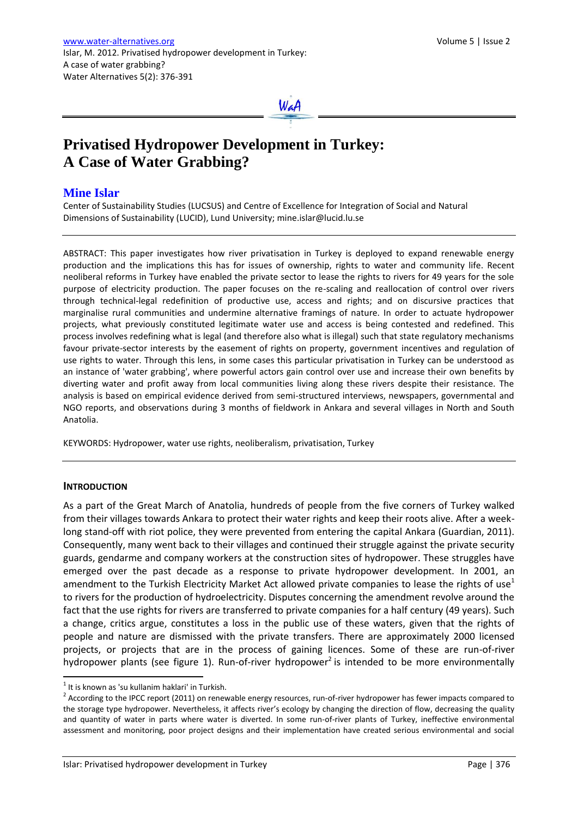

# **Privatised Hydropower Development in Turkey: A Case of Water Grabbing?**

# **Mine Islar**

Center of Sustainability Studies (LUCSUS) and Centre of Excellence for Integration of Social and Natural Dimensions of Sustainability (LUCID), Lund University[; mine.islar@lucid.lu.se](mailto:mine.islar@lucid.lu.se)

ABSTRACT: This paper investigates how river privatisation in Turkey is deployed to expand renewable energy production and the implications this has for issues of ownership, rights to water and community life. Recent neoliberal reforms in Turkey have enabled the private sector to lease the rights to rivers for 49 years for the sole purpose of electricity production. The paper focuses on the re-scaling and reallocation of control over rivers through technical-legal redefinition of productive use, access and rights; and on discursive practices that marginalise rural communities and undermine alternative framings of nature. In order to actuate hydropower projects, what previously constituted legitimate water use and access is being contested and redefined. This process involves redefining what is legal (and therefore also what is illegal) such that state regulatory mechanisms favour private-sector interests by the easement of rights on property, government incentives and regulation of use rights to water. Through this lens, in some cases this particular privatisation in Turkey can be understood as an instance of 'water grabbing', where powerful actors gain control over use and increase their own benefits by diverting water and profit away from local communities living along these rivers despite their resistance. The analysis is based on empirical evidence derived from semi-structured interviews, newspapers, governmental and NGO reports, and observations during 3 months of fieldwork in Ankara and several villages in North and South Anatolia.

KEYWORDS: Hydropower, water use rights, neoliberalism, privatisation, Turkey

# **INTRODUCTION**

 $\ddot{\phantom{a}}$ 

As a part of the Great March of Anatolia, hundreds of people from the five corners of Turkey walked from their villages towards Ankara to protect their water rights and keep their roots alive. After a weeklong stand-off with riot police, they were prevented from entering the capital Ankara (Guardian, 2011). Consequently, many went back to their villages and continued their struggle against the private security guards, gendarme and company workers at the construction sites of hydropower. These struggles have emerged over the past decade as a response to private hydropower development. In 2001, an amendment to the Turkish Electricity Market Act allowed private companies to lease the rights of use<sup>1</sup> to rivers for the production of hydroelectricity. Disputes concerning the amendment revolve around the fact that the use rights for rivers are transferred to private companies for a half century (49 years). Such a change, critics argue, constitutes a loss in the public use of these waters, given that the rights of people and nature are dismissed with the private transfers. There are approximately 2000 licensed projects, or projects that are in the process of gaining licences. Some of these are run-of-river hydropower plants (see figure 1). Run-of-river hydropower<sup>2</sup> is intended to be more environmentally

 $<sup>1</sup>$  It is known as 'su kullanim haklari' in Turkish.</sup>

 $2$  According to the IPCC report (2011) on renewable energy resources, run-of-river hydropower has fewer impacts compared to the storage type hydropower. Nevertheless, it affects river's ecology by changing the direction of flow, decreasing the quality and quantity of water in parts where water is diverted. In some run-of-river plants of Turkey, ineffective environmental assessment and monitoring, poor project designs and their implementation have created serious environmental and social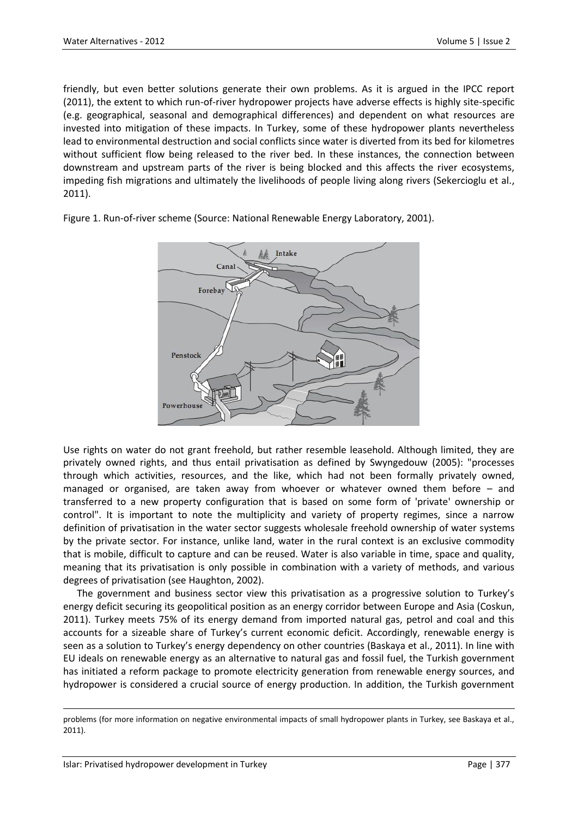friendly, but even better solutions generate their own problems. As it is argued in the IPCC report (2011), the extent to which run-of-river hydropower projects have adverse effects is highly site-specific (e.g. geographical, seasonal and demographical differences) and dependent on what resources are invested into mitigation of these impacts. In Turkey, some of these hydropower plants nevertheless lead to environmental destruction and social conflicts since water is diverted from its bed for kilometres without sufficient flow being released to the river bed. In these instances, the connection between downstream and upstream parts of the river is being blocked and this affects the river ecosystems, impeding fish migrations and ultimately the livelihoods of people living along rivers (Sekercioglu et al., 2011).



Figure 1. Run-of-river scheme (Source: National Renewable Energy Laboratory, 2001).

Use rights on water do not grant freehold, but rather resemble leasehold. Although limited, they are privately owned rights, and thus entail privatisation as defined by Swyngedouw (2005): "processes through which activities, resources, and the like, which had not been formally privately owned, managed or organised, are taken away from whoever or whatever owned them before – and transferred to a new property configuration that is based on some form of 'private' ownership or control". It is important to note the multiplicity and variety of property regimes, since a narrow definition of privatisation in the water sector suggests wholesale freehold ownership of water systems by the private sector. For instance, unlike land, water in the rural context is an exclusive commodity that is mobile, difficult to capture and can be reused. Water is also variable in time, space and quality, meaning that its privatisation is only possible in combination with a variety of methods, and various degrees of privatisation (see Haughton, 2002).

The government and business sector view this privatisation as a progressive solution to Turkey's energy deficit securing its geopolitical position as an energy corridor between Europe and Asia (Coskun, 2011). Turkey meets 75% of its energy demand from imported natural gas, petrol and coal and this accounts for a sizeable share of Turkey's current economic deficit. Accordingly, renewable energy is seen as a solution to Turkey's energy dependency on other countries (Baskaya et al., 2011). In line with EU ideals on renewable energy as an alternative to natural gas and fossil fuel, the Turkish government has initiated a reform package to promote electricity generation from renewable energy sources, and hydropower is considered a crucial source of energy production. In addition, the Turkish government

1

problems (for more information on negative environmental impacts of small hydropower plants in Turkey, see Baskaya et al., 2011).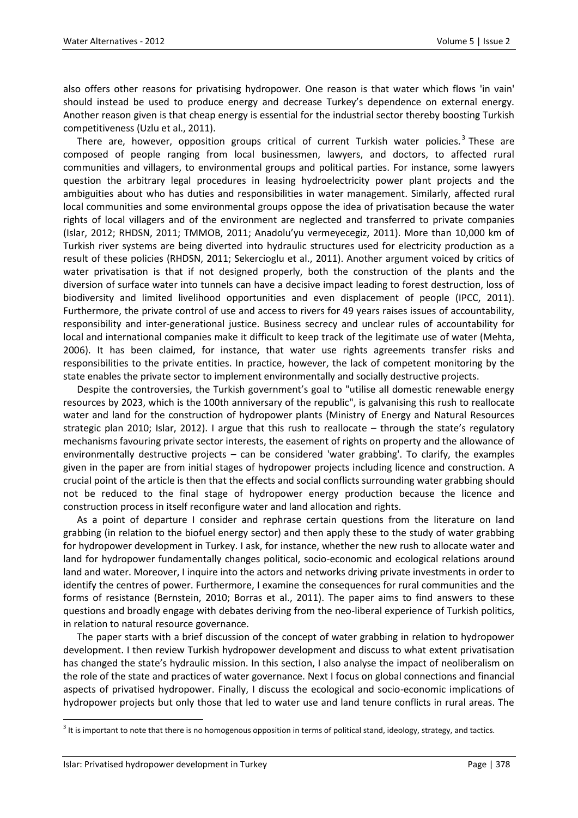also offers other reasons for privatising hydropower. One reason is that water which flows 'in vain' should instead be used to produce energy and decrease Turkey's dependence on external energy. Another reason given is that cheap energy is essential for the industrial sector thereby boosting Turkish competitiveness (Uzlu et al., 2011).

There are, however, opposition groups critical of current Turkish water policies.<sup>3</sup> These are composed of people ranging from local businessmen, lawyers, and doctors, to affected rural communities and villagers, to environmental groups and political parties. For instance, some lawyers question the arbitrary legal procedures in leasing hydroelectricity power plant projects and the ambiguities about who has duties and responsibilities in water management. Similarly, affected rural local communities and some environmental groups oppose the idea of privatisation because the water rights of local villagers and of the environment are neglected and transferred to private companies (Islar, 2012; RHDSN, 2011; TMMOB, 2011; Anadolu'yu vermeyecegiz, 2011). More than 10,000 km of Turkish river systems are being diverted into hydraulic structures used for electricity production as a result of these policies (RHDSN, 2011; Sekercioglu et al., 2011). Another argument voiced by critics of water privatisation is that if not designed properly, both the construction of the plants and the diversion of surface water into tunnels can have a decisive impact leading to forest destruction, loss of biodiversity and limited livelihood opportunities and even displacement of people (IPCC, 2011). Furthermore, the private control of use and access to rivers for 49 years raises issues of accountability, responsibility and inter-generational justice. Business secrecy and unclear rules of accountability for local and international companies make it difficult to keep track of the legitimate use of water (Mehta, 2006). It has been claimed, for instance, that water use rights agreements transfer risks and responsibilities to the private entities. In practice, however, the lack of competent monitoring by the state enables the private sector to implement environmentally and socially destructive projects.

Despite the controversies, the Turkish government's goal to "utilise all domestic renewable energy resources by 2023, which is the 100th anniversary of the republic", is galvanising this rush to reallocate water and land for the construction of hydropower plants (Ministry of Energy and Natural Resources strategic plan 2010; Islar, 2012). I argue that this rush to reallocate – through the state's regulatory mechanisms favouring private sector interests, the easement of rights on property and the allowance of environmentally destructive projects – can be considered 'water grabbing'. To clarify, the examples given in the paper are from initial stages of hydropower projects including licence and construction. A crucial point of the article is then that the effects and social conflicts surrounding water grabbing should not be reduced to the final stage of hydropower energy production because the licence and construction process in itself reconfigure water and land allocation and rights.

As a point of departure I consider and rephrase certain questions from the literature on land grabbing (in relation to the biofuel energy sector) and then apply these to the study of water grabbing for hydropower development in Turkey. I ask, for instance, whether the new rush to allocate water and land for hydropower fundamentally changes political, socio-economic and ecological relations around land and water. Moreover, I inquire into the actors and networks driving private investments in order to identify the centres of power. Furthermore, I examine the consequences for rural communities and the forms of resistance (Bernstein, 2010; Borras et al., 2011). The paper aims to find answers to these questions and broadly engage with debates deriving from the neo-liberal experience of Turkish politics, in relation to natural resource governance.

The paper starts with a brief discussion of the concept of water grabbing in relation to hydropower development. I then review Turkish hydropower development and discuss to what extent privatisation has changed the state's hydraulic mission. In this section, I also analyse the impact of neoliberalism on the role of the state and practices of water governance. Next I focus on global connections and financial aspects of privatised hydropower. Finally, I discuss the ecological and socio-economic implications of hydropower projects but only those that led to water use and land tenure conflicts in rural areas. The

 $\ddot{\phantom{a}}$ 

 $^3$  It is important to note that there is no homogenous opposition in terms of political stand, ideology, strategy, and tactics.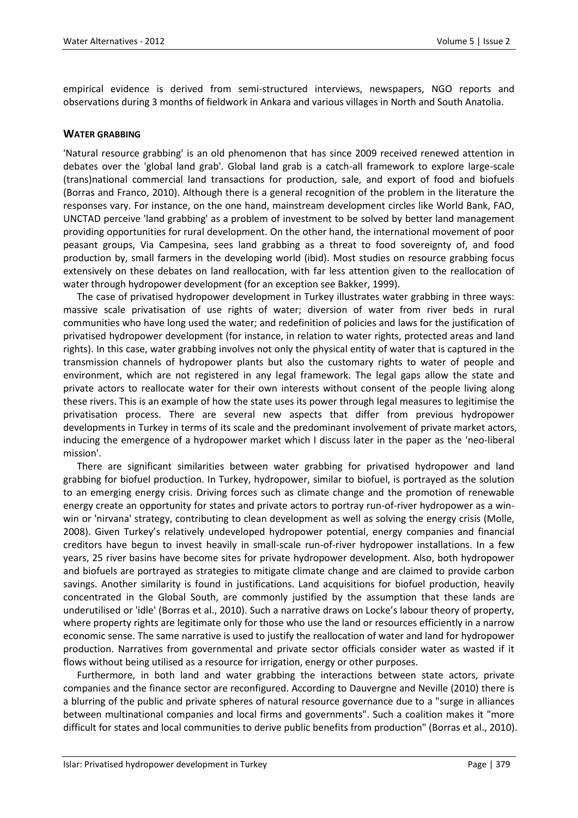empirical evidence is derived from semi-structured interviews, newspapers, NGO reports and observations during 3 months of fieldwork in Ankara and various villages in North and South Anatolia.

# **WATER GRABBING**

'Natural resource grabbing' is an old phenomenon that has since 2009 received renewed attention in debates over the 'global land grab'. Global land grab is a catch-all framework to explore large-scale (trans)national commercial land transactions for production, sale, and export of food and biofuels (Borras and Franco, 2010). Although there is a general recognition of the problem in the literature the responses vary. For instance, on the one hand, mainstream development circles like World Bank, FAO, UNCTAD perceive 'land grabbing' as a problem of investment to be solved by better land management providing opportunities for rural development. On the other hand, the international movement of poor peasant groups, Via Campesina, sees land grabbing as a threat to food sovereignty of, and food production by, small farmers in the developing world (ibid). Most studies on resource grabbing focus extensively on these debates on land reallocation, with far less attention given to the reallocation of water through hydropower development (for an exception see Bakker, 1999).

The case of privatised hydropower development in Turkey illustrates water grabbing in three ways: massive scale privatisation of use rights of water; diversion of water from river beds in rural communities who have long used the water; and redefinition of policies and laws for the justification of privatised hydropower development (for instance, in relation to water rights, protected areas and land rights). In this case, water grabbing involves not only the physical entity of water that is captured in the transmission channels of hydropower plants but also the customary rights to water of people and environment, which are not registered in any legal framework. The legal gaps allow the state and private actors to reallocate water for their own interests without consent of the people living along these rivers. This is an example of how the state uses its power through legal measures to legitimise the privatisation process. There are several new aspects that differ from previous hydropower developments in Turkey in terms of its scale and the predominant involvement of private market actors, inducing the emergence of a hydropower market which I discuss later in the paper as the 'neo-liberal mission'.

There are significant similarities between water grabbing for privatised hydropower and land grabbing for biofuel production. In Turkey, hydropower, similar to biofuel, is portrayed as the solution to an emerging energy crisis. Driving forces such as climate change and the promotion of renewable energy create an opportunity for states and private actors to portray run-of-river hydropower as a winwin or 'nirvana' strategy, contributing to clean development as well as solving the energy crisis (Molle, 2008). Given Turkey's relatively undeveloped hydropower potential, energy companies and financial creditors have begun to invest heavily in small-scale run-of-river hydropower installations. In a few years, 25 river basins have become sites for private hydropower development. Also, both hydropower and biofuels are portrayed as strategies to mitigate climate change and are claimed to provide carbon savings. Another similarity is found in justifications. Land acquisitions for biofuel production, heavily concentrated in the Global South, are commonly justified by the assumption that these lands are underutilised or 'idle' (Borras et al., 2010). Such a narrative draws on Locke's labour theory of property, where property rights are legitimate only for those who use the land or resources efficiently in a narrow economic sense. The same narrative is used to justify the reallocation of water and land for hydropower production. Narratives from governmental and private sector officials consider water as wasted if it flows without being utilised as a resource for irrigation, energy or other purposes.

Furthermore, in both land and water grabbing the interactions between state actors, private companies and the finance sector are reconfigured. According to Dauvergne and Neville (2010) there is a blurring of the public and private spheres of natural resource governance due to a "surge in alliances between multinational companies and local firms and governments". Such a coalition makes it "more difficult for states and local communities to derive public benefits from production" (Borras et al., 2010).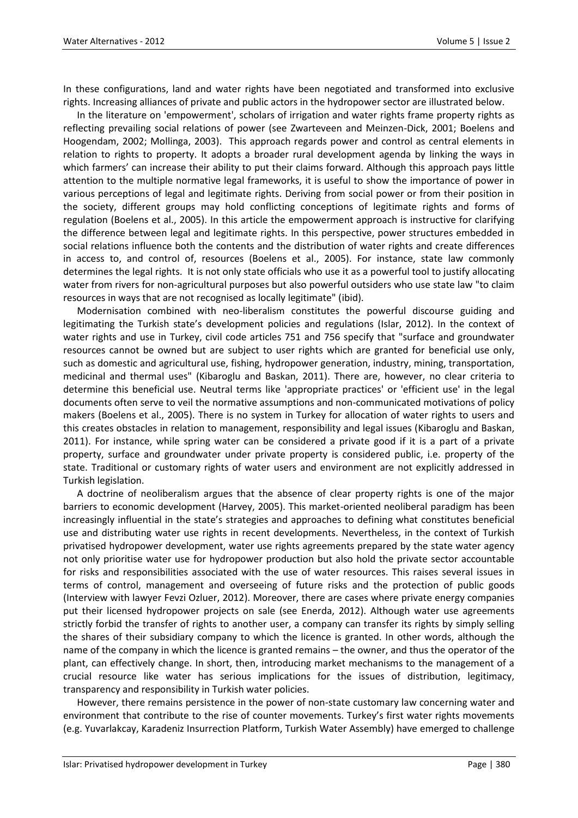In these configurations, land and water rights have been negotiated and transformed into exclusive rights. Increasing alliances of private and public actors in the hydropower sector are illustrated below.

In the literature on 'empowerment', scholars of irrigation and water rights frame property rights as reflecting prevailing social relations of power (see Zwarteveen and Meinzen-Dick, 2001; Boelens and Hoogendam, 2002; Mollinga, 2003). This approach regards power and control as central elements in relation to rights to property. It adopts a broader rural development agenda by linking the ways in which farmers' can increase their ability to put their claims forward. Although this approach pays little attention to the multiple normative legal frameworks, it is useful to show the importance of power in various perceptions of legal and legitimate rights. Deriving from social power or from their position in the society, different groups may hold conflicting conceptions of legitimate rights and forms of regulation (Boelens et al., 2005). In this article the empowerment approach is instructive for clarifying the difference between legal and legitimate rights. In this perspective, power structures embedded in social relations influence both the contents and the distribution of water rights and create differences in access to, and control of, resources (Boelens et al., 2005). For instance, state law commonly determines the legal rights. It is not only state officials who use it as a powerful tool to justify allocating water from rivers for non-agricultural purposes but also powerful outsiders who use state law "to claim resources in ways that are not recognised as locally legitimate" (ibid).

Modernisation combined with neo-liberalism constitutes the powerful discourse guiding and legitimating the Turkish state's development policies and regulations (Islar, 2012). In the context of water rights and use in Turkey, civil code articles 751 and 756 specify that "surface and groundwater resources cannot be owned but are subject to user rights which are granted for beneficial use only, such as domestic and agricultural use, fishing, hydropower generation, industry, mining, transportation, medicinal and thermal uses" (Kibaroglu and Baskan, 2011). There are, however, no clear criteria to determine this beneficial use. Neutral terms like 'appropriate practices' or 'efficient use' in the legal documents often serve to veil the normative assumptions and non-communicated motivations of policy makers (Boelens et al., 2005). There is no system in Turkey for allocation of water rights to users and this creates obstacles in relation to management, responsibility and legal issues (Kibaroglu and Baskan, 2011). For instance, while spring water can be considered a private good if it is a part of a private property, surface and groundwater under private property is considered public, i.e. property of the state. Traditional or customary rights of water users and environment are not explicitly addressed in Turkish legislation.

A doctrine of neoliberalism argues that the absence of clear property rights is one of the major barriers to economic development (Harvey, 2005). This market-oriented neoliberal paradigm has been increasingly influential in the state's strategies and approaches to defining what constitutes beneficial use and distributing water use rights in recent developments. Nevertheless, in the context of Turkish privatised hydropower development, water use rights agreements prepared by the state water agency not only prioritise water use for hydropower production but also hold the private sector accountable for risks and responsibilities associated with the use of water resources. This raises several issues in terms of control, management and overseeing of future risks and the protection of public goods (Interview with lawyer Fevzi Ozluer, 2012). Moreover, there are cases where private energy companies put their licensed hydropower projects on sale (see Enerda, 2012). Although water use agreements strictly forbid the transfer of rights to another user, a company can transfer its rights by simply selling the shares of their subsidiary company to which the licence is granted. In other words, although the name of the company in which the licence is granted remains – the owner, and thus the operator of the plant, can effectively change. In short, then, introducing market mechanisms to the management of a crucial resource like water has serious implications for the issues of distribution, legitimacy, transparency and responsibility in Turkish water policies.

However, there remains persistence in the power of non-state customary law concerning water and environment that contribute to the rise of counter movements. Turkey's first water rights movements (e.g. Yuvarlakcay, Karadeniz Insurrection Platform, Turkish Water Assembly) have emerged to challenge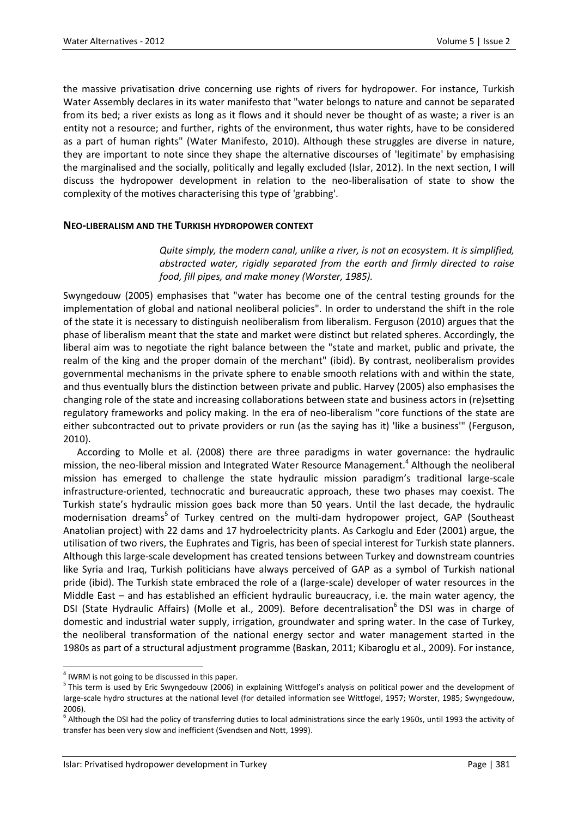the massive privatisation drive concerning use rights of rivers for hydropower. For instance, Turkish Water Assembly declares in its water manifesto that "water belongs to nature and cannot be separated from its bed; a river exists as long as it flows and it should never be thought of as waste; a river is an entity not a resource; and further, rights of the environment, thus water rights, have to be considered as a part of human rights" (Water Manifesto, 2010). Although these struggles are diverse in nature, they are important to note since they shape the alternative discourses of 'legitimate' by emphasising the marginalised and the socially, politically and legally excluded (Islar, 2012). In the next section, I will discuss the hydropower development in relation to the neo-liberalisation of state to show the complexity of the motives characterising this type of 'grabbing'.

#### **NEO-LIBERALISM AND THE TURKISH HYDROPOWER CONTEXT**

*Quite simply, the modern canal, unlike a river, is not an ecosystem. It is simplified, abstracted water, rigidly separated from the earth and firmly directed to raise food, fill pipes, and make money (Worster, 1985).*

Swyngedouw (2005) emphasises that "water has become one of the central testing grounds for the implementation of global and national neoliberal policies". In order to understand the shift in the role of the state it is necessary to distinguish neoliberalism from liberalism. Ferguson (2010) argues that the phase of liberalism meant that the state and market were distinct but related spheres. Accordingly, the liberal aim was to negotiate the right balance between the "state and market, public and private, the realm of the king and the proper domain of the merchant" (ibid). By contrast, neoliberalism provides governmental mechanisms in the private sphere to enable smooth relations with and within the state, and thus eventually blurs the distinction between private and public. Harvey (2005) also emphasises the changing role of the state and increasing collaborations between state and business actors in (re)setting regulatory frameworks and policy making. In the era of neo-liberalism "core functions of the state are either subcontracted out to private providers or run (as the saying has it) 'like a business'" (Ferguson, 2010).

According to Molle et al. (2008) there are three paradigms in water governance: the hydraulic mission, the neo-liberal mission and Integrated Water Resource Management.<sup>4</sup> Although the neoliberal mission has emerged to challenge the state hydraulic mission paradigm's traditional large-scale infrastructure-oriented, technocratic and bureaucratic approach, these two phases may coexist. The Turkish state's hydraulic mission goes back more than 50 years. Until the last decade, the hydraulic modernisation dreams<sup>5</sup> of Turkey centred on the multi-dam hydropower project, GAP (Southeast Anatolian project) with 22 dams and 17 hydroelectricity plants. As Carkoglu and Eder (2001) argue, the utilisation of two rivers, the Euphrates and Tigris, has been of special interest for Turkish state planners. Although this large-scale development has created tensions between Turkey and downstream countries like Syria and Iraq, Turkish politicians have always perceived of GAP as a symbol of Turkish national pride (ibid). The Turkish state embraced the role of a (large‐scale) developer of water resources in the Middle East – and has established an efficient hydraulic bureaucracy, i.e. the main water agency, the DSI (State Hydraulic Affairs) (Molle et al., 2009). Before decentralisation<sup>6</sup> the DSI was in charge of domestic and industrial water supply, irrigation, groundwater and spring water. In the case of Turkey, the neoliberal transformation of the national energy sector and water management started in the 1980s as part of a structural adjustment programme (Baskan, 2011; Kibaroglu et al., 2009). For instance,

 $\ddot{\phantom{a}}$ 

 $<sup>4</sup>$  IWRM is not going to be discussed in this paper.</sup>

<sup>&</sup>lt;sup>5</sup> This term is used by Eric Swyngedouw (2006) in explaining Wittfogel's analysis on political power and the development of large-scale hydro structures at the national level (for detailed information see Wittfogel, 1957; Worster, 1985; Swyngedouw, 2006).

<sup>&</sup>lt;sup>6</sup> Although the DSI had the policy of transferring duties to local administrations since the early 1960s, until 1993 the activity of transfer has been very slow and inefficient (Svendsen and Nott, 1999).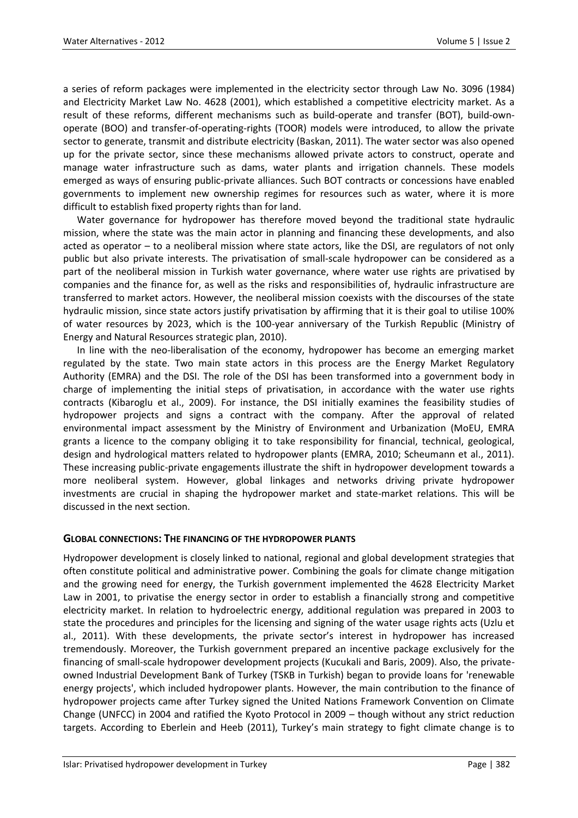a series of reform packages were implemented in the electricity sector through Law No. 3096 (1984) and Electricity Market Law No. 4628 (2001), which established a competitive electricity market. As a result of these reforms, different mechanisms such as build-operate and transfer (BOT), build-ownoperate (BOO) and transfer-of-operating-rights (TOOR) models were introduced, to allow the private sector to generate, transmit and distribute electricity (Baskan, 2011). The water sector was also opened up for the private sector, since these mechanisms allowed private actors to construct, operate and manage water infrastructure such as dams, water plants and irrigation channels. These models emerged as ways of ensuring public-private alliances. Such BOT contracts or concessions have enabled governments to implement new ownership regimes for resources such as water, where it is more difficult to establish fixed property rights than for land.

Water governance for hydropower has therefore moved beyond the traditional state hydraulic mission, where the state was the main actor in planning and financing these developments, and also acted as operator – to a neoliberal mission where state actors, like the DSI, are regulators of not only public but also private interests. The privatisation of small-scale hydropower can be considered as a part of the neoliberal mission in Turkish water governance, where water use rights are privatised by companies and the finance for, as well as the risks and responsibilities of, hydraulic infrastructure are transferred to market actors. However, the neoliberal mission coexists with the discourses of the state hydraulic mission, since state actors justify privatisation by affirming that it is their goal to utilise 100% of water resources by 2023, which is the 100-year anniversary of the Turkish Republic (Ministry of Energy and Natural Resources strategic plan, 2010).

In line with the neo-liberalisation of the economy, hydropower has become an emerging market regulated by the state. Two main state actors in this process are the Energy Market Regulatory Authority (EMRA) and the DSI. The role of the DSI has been transformed into a government body in charge of implementing the initial steps of privatisation, in accordance with the water use rights contracts (Kibaroglu et al., 2009). For instance, the DSI initially examines the feasibility studies of hydropower projects and signs a contract with the company. After the approval of related environmental impact assessment by the Ministry of Environment and Urbanization (MoEU, EMRA grants a licence to the company obliging it to take responsibility for financial, technical, geological, design and hydrological matters related to hydropower plants (EMRA, 2010; Scheumann et al., 2011). These increasing public-private engagements illustrate the shift in hydropower development towards a more neoliberal system. However, global linkages and networks driving private hydropower investments are crucial in shaping the hydropower market and state-market relations. This will be discussed in the next section.

# **GLOBAL CONNECTIONS: THE FINANCING OF THE HYDROPOWER PLANTS**

Hydropower development is closely linked to national, regional and global development strategies that often constitute political and administrative power. Combining the goals for climate change mitigation and the growing need for energy, the Turkish government implemented the 4628 Electricity Market Law in 2001, to privatise the energy sector in order to establish a financially strong and competitive electricity market. In relation to hydroelectric energy, additional regulation was prepared in 2003 to state the procedures and principles for the licensing and signing of the water usage rights acts (Uzlu et al., 2011). With these developments, the private sector's interest in hydropower has increased tremendously. Moreover, the Turkish government prepared an incentive package exclusively for the financing of small-scale hydropower development projects (Kucukali and Baris, 2009). Also, the privateowned Industrial Development Bank of Turkey (TSKB in Turkish) began to provide loans for 'renewable energy projects', which included hydropower plants. However, the main contribution to the finance of hydropower projects came after Turkey signed the United Nations Framework Convention on Climate Change (UNFCC) in 2004 and ratified the Kyoto Protocol in 2009 – though without any strict reduction targets. According to Eberlein and Heeb (2011), Turkey's main strategy to fight climate change is to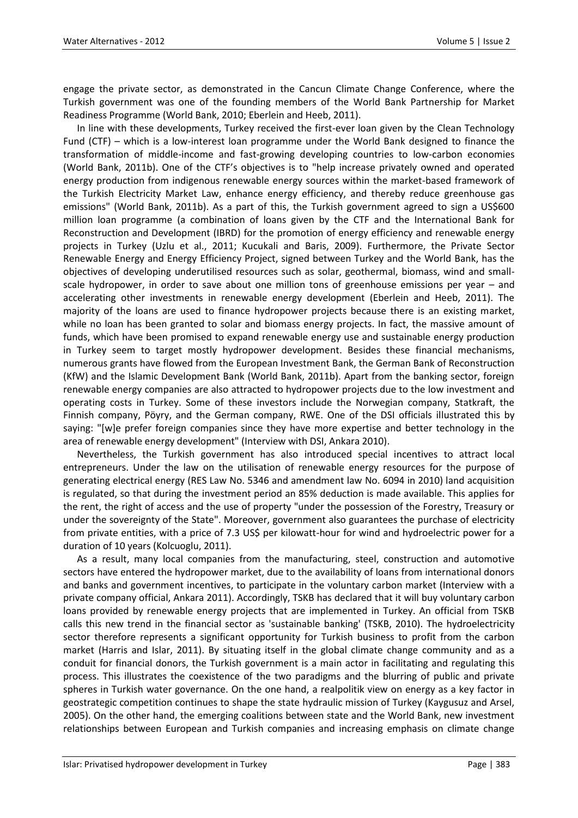engage the private sector, as demonstrated in the Cancun Climate Change Conference, where the Turkish government was one of the founding members of the World Bank Partnership for Market Readiness Programme (World Bank, 2010; Eberlein and Heeb, 2011).

In line with these developments, Turkey received the first-ever loan given by the Clean Technology Fund (CTF) – which is a low-interest loan programme under the World Bank designed to finance the transformation of middle-income and fast-growing developing countries to low-carbon economies (World Bank, 2011b). One of the CTF's objectives is to "help increase privately owned and operated energy production from indigenous renewable energy sources within the market-based framework of the Turkish Electricity Market Law, enhance energy efficiency, and thereby reduce greenhouse gas emissions" (World Bank, 2011b). As a part of this, the Turkish government agreed to sign a US\$600 million loan programme (a combination of loans given by the CTF and the International Bank for Reconstruction and Development (IBRD) for the promotion of energy efficiency and renewable energy projects in Turkey (Uzlu et al., 2011; Kucukali and Baris, 2009). Furthermore, the Private Sector Renewable Energy and Energy Efficiency Project, signed between Turkey and the World Bank, has the objectives of developing underutilised resources such as solar, geothermal, biomass, wind and smallscale hydropower, in order to save about one million tons of greenhouse emissions per year – and accelerating other investments in renewable energy development (Eberlein and Heeb, 2011). The majority of the loans are used to finance hydropower projects because there is an existing market, while no loan has been granted to solar and biomass energy projects. In fact, the massive amount of funds, which have been promised to expand renewable energy use and sustainable energy production in Turkey seem to target mostly hydropower development. Besides these financial mechanisms, numerous grants have flowed from the European Investment Bank, the German Bank of Reconstruction (KfW) and the Islamic Development Bank (World Bank, 2011b). Apart from the banking sector, foreign renewable energy companies are also attracted to hydropower projects due to the low investment and operating costs in Turkey. Some of these investors include the Norwegian company, Statkraft, the Finnish company, Pöyry, and the German company, RWE. One of the DSI officials illustrated this by saying: "[w]e prefer foreign companies since they have more expertise and better technology in the area of renewable energy development" (Interview with DSI, Ankara 2010).

Nevertheless, the Turkish government has also introduced special incentives to attract local entrepreneurs. Under the law on the utilisation of renewable energy resources for the purpose of generating electrical energy (RES Law No. 5346 and amendment law No. 6094 in 2010) land acquisition is regulated, so that during the investment period an 85% deduction is made available. This applies for the rent, the right of access and the use of property "under the possession of the Forestry, Treasury or under the sovereignty of the State". Moreover, government also guarantees the purchase of electricity from private entities, with a price of 7.3 US\$ per kilowatt-hour for wind and hydroelectric power for a duration of 10 years (Kolcuoglu, 2011).

As a result, many local companies from the manufacturing, steel, construction and automotive sectors have entered the hydropower market, due to the availability of loans from international donors and banks and government incentives, to participate in the voluntary carbon market (Interview with a private company official, Ankara 2011). Accordingly, TSKB has declared that it will buy voluntary carbon loans provided by renewable energy projects that are implemented in Turkey. An official from TSKB calls this new trend in the financial sector as 'sustainable banking' (TSKB, 2010). The hydroelectricity sector therefore represents a significant opportunity for Turkish business to profit from the carbon market (Harris and Islar, 2011). By situating itself in the global climate change community and as a conduit for financial donors, the Turkish government is a main actor in facilitating and regulating this process. This illustrates the coexistence of the two paradigms and the blurring of public and private spheres in Turkish water governance. On the one hand, a realpolitik view on energy as a key factor in geostrategic competition continues to shape the state hydraulic mission of Turkey (Kaygusuz and Arsel, 2005). On the other hand, the emerging coalitions between state and the World Bank, new investment relationships between European and Turkish companies and increasing emphasis on climate change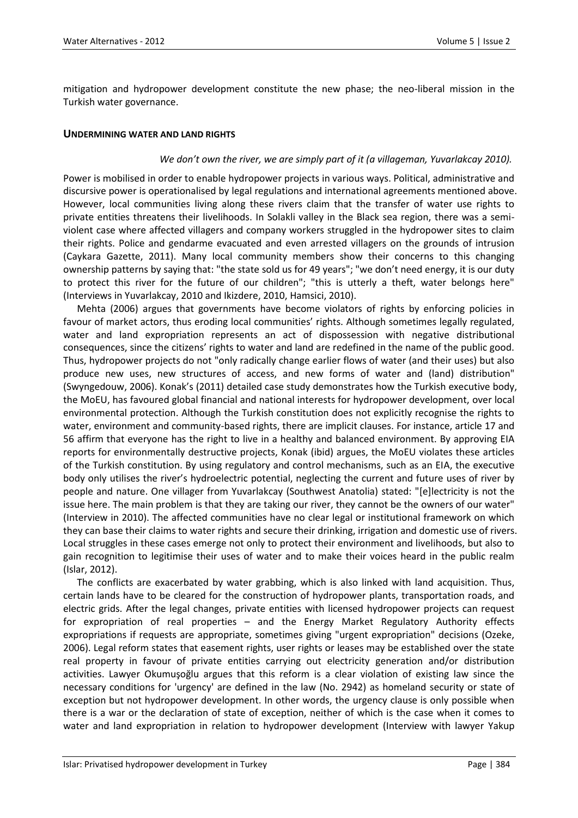mitigation and hydropower development constitute the new phase; the neo-liberal mission in the Turkish water governance.

#### **UNDERMINING WATER AND LAND RIGHTS**

#### *We don't own the river, we are simply part of it (a villageman, Yuvarlakcay 2010).*

Power is mobilised in order to enable hydropower projects in various ways. Political, administrative and discursive power is operationalised by legal regulations and international agreements mentioned above. However, local communities living along these rivers claim that the transfer of water use rights to private entities threatens their livelihoods. In Solakli valley in the Black sea region, there was a semiviolent case where affected villagers and company workers struggled in the hydropower sites to claim their rights. Police and gendarme evacuated and even arrested villagers on the grounds of intrusion (Caykara Gazette, 2011). Many local community members show their concerns to this changing ownership patterns by saying that: "the state sold us for 49 years"; "we don't need energy, it is our duty to protect this river for the future of our children"; "this is utterly a theft, water belongs here" (Interviews in Yuvarlakcay, 2010 and Ikizdere, 2010, Hamsici, 2010).

Mehta (2006) argues that governments have become violators of rights by enforcing policies in favour of market actors, thus eroding local communities' rights. Although sometimes legally regulated, water and land expropriation represents an act of dispossession with negative distributional consequences, since the citizens' rights to water and land are redefined in the name of the public good. Thus, hydropower projects do not "only radically change earlier flows of water (and their uses) but also produce new uses, new structures of access, and new forms of water and (land) distribution" (Swyngedouw, 2006). Konak's (2011) detailed case study demonstrates how the Turkish executive body, the MoEU, has favoured global financial and national interests for hydropower development, over local environmental protection. Although the Turkish constitution does not explicitly recognise the rights to water, environment and community-based rights, there are implicit clauses. For instance, article 17 and 56 affirm that everyone has the right to live in a healthy and balanced environment. By approving EIA reports for environmentally destructive projects, Konak (ibid) argues, the MoEU violates these articles of the Turkish constitution. By using regulatory and control mechanisms, such as an EIA, the executive body only utilises the river's hydroelectric potential, neglecting the current and future uses of river by people and nature. One villager from Yuvarlakcay (Southwest Anatolia) stated: "[e]lectricity is not the issue here. The main problem is that they are taking our river, they cannot be the owners of our water" (Interview in 2010). The affected communities have no clear legal or institutional framework on which they can base their claims to water rights and secure their drinking, irrigation and domestic use of rivers. Local struggles in these cases emerge not only to protect their environment and livelihoods, but also to gain recognition to legitimise their uses of water and to make their voices heard in the public realm (Islar, 2012).

The conflicts are exacerbated by water grabbing, which is also linked with land acquisition. Thus, certain lands have to be cleared for the construction of hydropower plants, transportation roads, and electric grids. After the legal changes, private entities with licensed hydropower projects can request for expropriation of real properties – and the Energy Market Regulatory Authority effects expropriations if requests are appropriate, sometimes giving "urgent expropriation" decisions (Ozeke, 2006). Legal reform states that easement rights, user rights or leases may be established over the state real property in favour of private entities carrying out electricity generation and/or distribution activities. Lawyer Okumuşoğlu argues that this reform is a clear violation of existing law since the necessary conditions for 'urgency' are defined in the law (No. 2942) as homeland security or state of exception but not hydropower development. In other words, the urgency clause is only possible when there is a war or the declaration of state of exception, neither of which is the case when it comes to water and land expropriation in relation to hydropower development (Interview with lawyer Yakup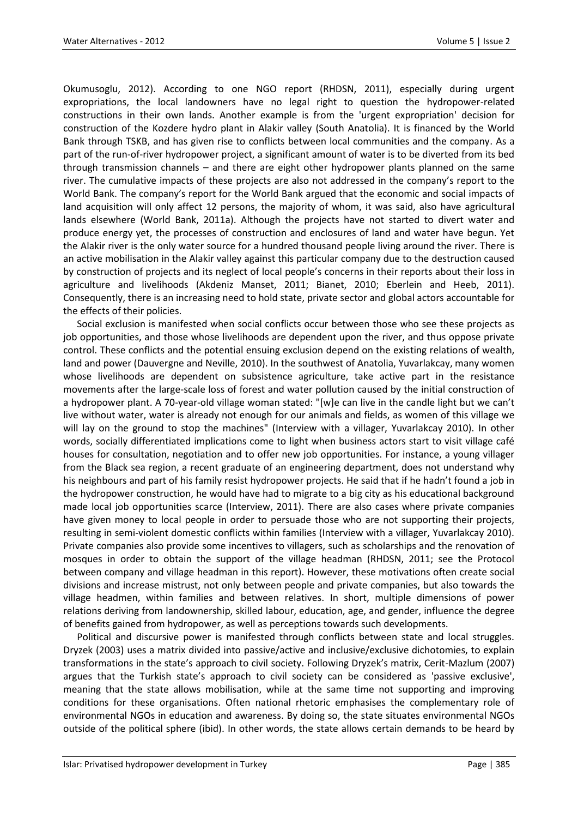Okumusoglu, 2012). According to one NGO report (RHDSN, 2011), especially during urgent expropriations, the local landowners have no legal right to question the hydropower-related constructions in their own lands. Another example is from the 'urgent expropriation' decision for construction of the Kozdere hydro plant in Alakir valley (South Anatolia). It is financed by the World Bank through TSKB, and has given rise to conflicts between local communities and the company. As a part of the run-of-river hydropower project, a significant amount of water is to be diverted from its bed through transmission channels – and there are eight other hydropower plants planned on the same river. The cumulative impacts of these projects are also not addressed in the company's report to the World Bank. The company's report for the World Bank argued that the economic and social impacts of land acquisition will only affect 12 persons, the majority of whom, it was said, also have agricultural lands elsewhere (World Bank, 2011a). Although the projects have not started to divert water and produce energy yet, the processes of construction and enclosures of land and water have begun. Yet the Alakir river is the only water source for a hundred thousand people living around the river. There is an active mobilisation in the Alakir valley against this particular company due to the destruction caused by construction of projects and its neglect of local people's concerns in their reports about their loss in agriculture and livelihoods (Akdeniz Manset, 2011; Bianet, 2010; Eberlein and Heeb, 2011). Consequently, there is an increasing need to hold state, private sector and global actors accountable for the effects of their policies.

Social exclusion is manifested when social conflicts occur between those who see these projects as job opportunities, and those whose livelihoods are dependent upon the river, and thus oppose private control. These conflicts and the potential ensuing exclusion depend on the existing relations of wealth, land and power (Dauvergne and Neville, 2010). In the southwest of Anatolia, Yuvarlakcay, many women whose livelihoods are dependent on subsistence agriculture, take active part in the resistance movements after the large-scale loss of forest and water pollution caused by the initial construction of a hydropower plant. A 70-year-old village woman stated: "[w]e can live in the candle light but we can't live without water, water is already not enough for our animals and fields, as women of this village we will lay on the ground to stop the machines" (Interview with a villager, Yuvarlakcay 2010). In other words, socially differentiated implications come to light when business actors start to visit village café houses for consultation, negotiation and to offer new job opportunities. For instance, a young villager from the Black sea region, a recent graduate of an engineering department, does not understand why his neighbours and part of his family resist hydropower projects. He said that if he hadn't found a job in the hydropower construction, he would have had to migrate to a big city as his educational background made local job opportunities scarce (Interview, 2011). There are also cases where private companies have given money to local people in order to persuade those who are not supporting their projects, resulting in semi-violent domestic conflicts within families (Interview with a villager, Yuvarlakcay 2010). Private companies also provide some incentives to villagers, such as scholarships and the renovation of mosques in order to obtain the support of the village headman (RHDSN, 2011; see the Protocol between company and village headman in this report). However, these motivations often create social divisions and increase mistrust, not only between people and private companies, but also towards the village headmen, within families and between relatives. In short, multiple dimensions of power relations deriving from landownership, skilled labour, education, age, and gender, influence the degree of benefits gained from hydropower, as well as perceptions towards such developments.

Political and discursive power is manifested through conflicts between state and local struggles. Dryzek (2003) uses a matrix divided into passive/active and inclusive/exclusive dichotomies, to explain transformations in the state's approach to civil society. Following Dryzek's matrix, Cerit-Mazlum (2007) argues that the Turkish state's approach to civil society can be considered as 'passive exclusive', meaning that the state allows mobilisation, while at the same time not supporting and improving conditions for these organisations. Often national rhetoric emphasises the complementary role of environmental NGOs in education and awareness. By doing so, the state situates environmental NGOs outside of the political sphere (ibid). In other words, the state allows certain demands to be heard by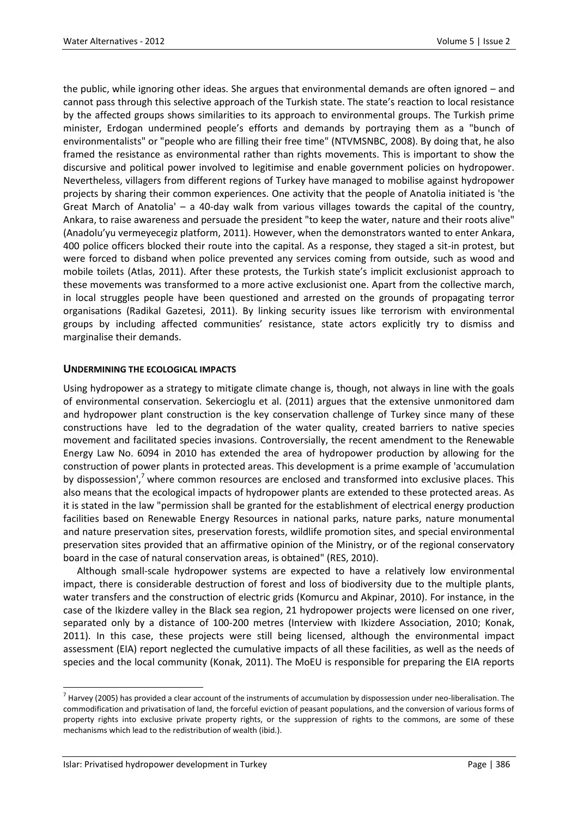the public, while ignoring other ideas. She argues that environmental demands are often ignored – and cannot pass through this selective approach of the Turkish state. The state's reaction to local resistance by the affected groups shows similarities to its approach to environmental groups. The Turkish prime minister, Erdogan undermined people's efforts and demands by portraying them as a "bunch of environmentalists" or "people who are filling their free time" (NTVMSNBC, 2008). By doing that, he also framed the resistance as environmental rather than rights movements. This is important to show the discursive and political power involved to legitimise and enable government policies on hydropower. Nevertheless, villagers from different regions of Turkey have managed to mobilise against hydropower projects by sharing their common experiences. One activity that the people of Anatolia initiated is 'the Great March of Anatolia' – a 40-day walk from various villages towards the capital of the country, Ankara, to raise awareness and persuade the president "to keep the water, nature and their roots alive" (Anadolu'yu vermeyecegiz platform, 2011). However, when the demonstrators wanted to enter Ankara, 400 police officers blocked their route into the capital. As a response, they staged a sit-in protest, but were forced to disband when police prevented any services coming from outside, such as wood and mobile toilets (Atlas, 2011). After these protests, the Turkish state's implicit exclusionist approach to these movements was transformed to a more active exclusionist one. Apart from the collective march, in local struggles people have been questioned and arrested on the grounds of propagating terror organisations (Radikal Gazetesi, 2011). By linking security issues like terrorism with environmental groups by including affected communities' resistance, state actors explicitly try to dismiss and marginalise their demands.

# **UNDERMINING THE ECOLOGICAL IMPACTS**

Using hydropower as a strategy to mitigate climate change is, though, not always in line with the goals of environmental conservation. Sekercioglu et al. (2011) argues that the extensive unmonitored dam and hydropower plant construction is the key conservation challenge of Turkey since many of these constructions have led to the degradation of the water quality, created barriers to native species movement and facilitated species invasions. Controversially, the recent amendment to the Renewable Energy Law No. 6094 in 2010 has extended the area of hydropower production by allowing for the construction of power plants in protected areas. This development is a prime example of 'accumulation by dispossession',<sup>7</sup> where common resources are enclosed and transformed into exclusive places. This also means that the ecological impacts of hydropower plants are extended to these protected areas. As it is stated in the law "permission shall be granted for the establishment of electrical energy production facilities based on Renewable Energy Resources in national parks, nature parks, nature monumental and nature preservation sites, preservation forests, wildlife promotion sites, and special environmental preservation sites provided that an affirmative opinion of the Ministry, or of the regional conservatory board in the case of natural conservation areas, is obtained" (RES, 2010).

Although small-scale hydropower systems are expected to have a relatively low environmental impact, there is considerable destruction of forest and loss of biodiversity due to the multiple plants, water transfers and the construction of electric grids (Komurcu and Akpinar, 2010). For instance, in the case of the Ikizdere valley in the Black sea region, 21 hydropower projects were licensed on one river, separated only by a distance of 100-200 metres (Interview with Ikizdere Association, 2010; Konak, 2011). In this case, these projects were still being licensed, although the environmental impact assessment (EIA) report neglected the cumulative impacts of all these facilities, as well as the needs of species and the local community (Konak, 2011). The MoEU is responsible for preparing the EIA reports

 $\overline{a}$  $^7$  Harvey (2005) has provided a clear account of the instruments of accumulation by dispossession under neo-liberalisation. The commodification and privatisation of land, the forceful eviction of peasant populations, and the conversion of various forms of property rights into exclusive private property rights, or the suppression of rights to the commons, are some of these mechanisms which lead to the redistribution of wealth (ibid.).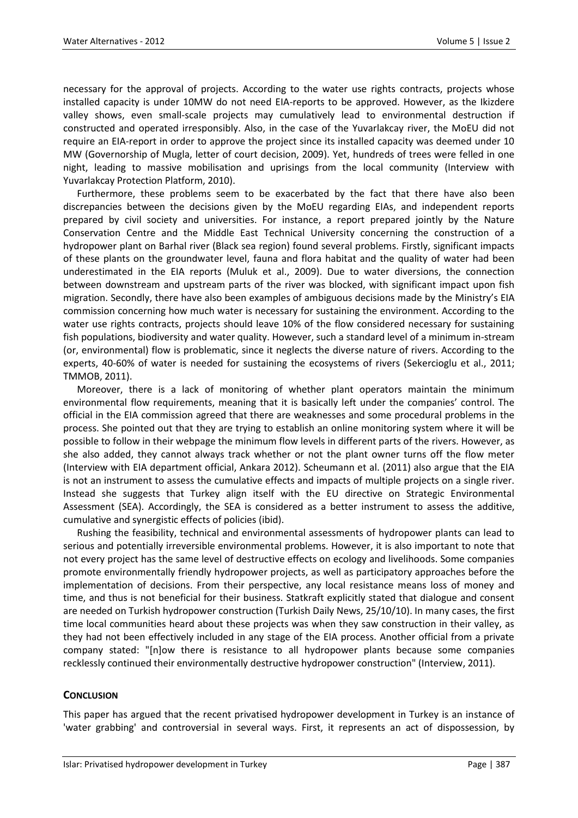necessary for the approval of projects. According to the water use rights contracts, projects whose installed capacity is under 10MW do not need EIA-reports to be approved. However, as the Ikizdere valley shows, even small-scale projects may cumulatively lead to environmental destruction if constructed and operated irresponsibly. Also, in the case of the Yuvarlakcay river, the MoEU did not require an EIA-report in order to approve the project since its installed capacity was deemed under 10 MW (Governorship of Mugla, letter of court decision, 2009). Yet, hundreds of trees were felled in one night, leading to massive mobilisation and uprisings from the local community (Interview with Yuvarlakcay Protection Platform, 2010).

Furthermore, these problems seem to be exacerbated by the fact that there have also been discrepancies between the decisions given by the MoEU regarding EIAs, and independent reports prepared by civil society and universities. For instance, a report prepared jointly by the Nature Conservation Centre and the Middle East Technical University concerning the construction of a hydropower plant on Barhal river (Black sea region) found several problems. Firstly, significant impacts of these plants on the groundwater level, fauna and flora habitat and the quality of water had been underestimated in the EIA reports (Muluk et al., 2009). Due to water diversions, the connection between downstream and upstream parts of the river was blocked, with significant impact upon fish migration. Secondly, there have also been examples of ambiguous decisions made by the Ministry's EIA commission concerning how much water is necessary for sustaining the environment. According to the water use rights contracts, projects should leave 10% of the flow considered necessary for sustaining fish populations, biodiversity and water quality. However, such a standard level of a minimum in-stream (or, environmental) flow is problematic, since it neglects the diverse nature of rivers. According to the experts, 40-60% of water is needed for sustaining the ecosystems of rivers (Sekercioglu et al., 2011; TMMOB, 2011).

Moreover, there is a lack of monitoring of whether plant operators maintain the minimum environmental flow requirements, meaning that it is basically left under the companies' control. The official in the EIA commission agreed that there are weaknesses and some procedural problems in the process. She pointed out that they are trying to establish an online monitoring system where it will be possible to follow in their webpage the minimum flow levels in different parts of the rivers. However, as she also added, they cannot always track whether or not the plant owner turns off the flow meter (Interview with EIA department official, Ankara 2012). Scheumann et al. (2011) also argue that the EIA is not an instrument to assess the cumulative effects and impacts of multiple projects on a single river. Instead she suggests that Turkey align itself with the EU directive on Strategic Environmental Assessment (SEA). Accordingly, the SEA is considered as a better instrument to assess the additive, cumulative and synergistic effects of policies (ibid).

Rushing the feasibility, technical and environmental assessments of hydropower plants can lead to serious and potentially irreversible environmental problems. However, it is also important to note that not every project has the same level of destructive effects on ecology and livelihoods. Some companies promote environmentally friendly hydropower projects, as well as participatory approaches before the implementation of decisions. From their perspective, any local resistance means loss of money and time, and thus is not beneficial for their business. Statkraft explicitly stated that dialogue and consent are needed on Turkish hydropower construction (Turkish Daily News, 25/10/10). In many cases, the first time local communities heard about these projects was when they saw construction in their valley, as they had not been effectively included in any stage of the EIA process. Another official from a private company stated: "[n]ow there is resistance to all hydropower plants because some companies recklessly continued their environmentally destructive hydropower construction" (Interview, 2011).

# **CONCLUSION**

This paper has argued that the recent privatised hydropower development in Turkey is an instance of 'water grabbing' and controversial in several ways. First, it represents an act of dispossession, by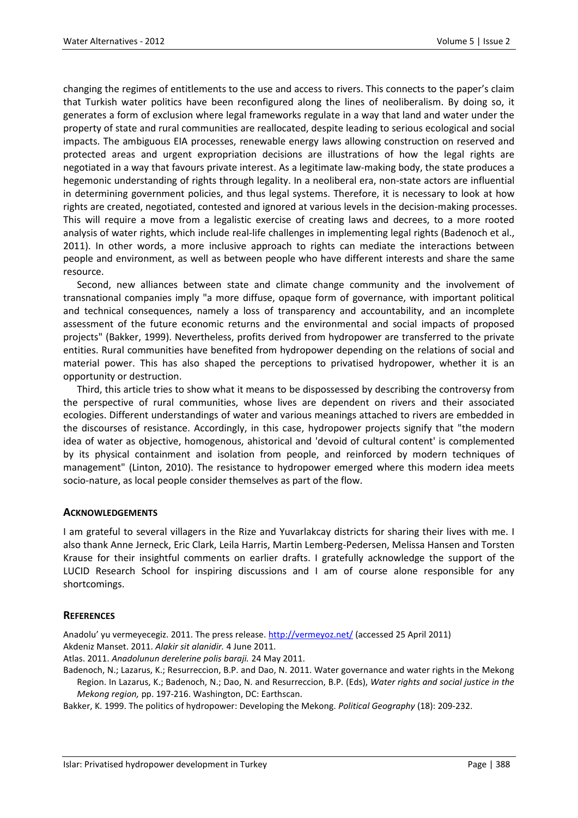changing the regimes of entitlements to the use and access to rivers. This connects to the paper's claim that Turkish water politics have been reconfigured along the lines of neoliberalism. By doing so, it generates a form of exclusion where legal frameworks regulate in a way that land and water under the property of state and rural communities are reallocated, despite leading to serious ecological and social impacts. The ambiguous EIA processes, renewable energy laws allowing construction on reserved and protected areas and urgent expropriation decisions are illustrations of how the legal rights are negotiated in a way that favours private interest. As a legitimate law-making body, the state produces a hegemonic understanding of rights through legality. In a neoliberal era, non-state actors are influential in determining government policies, and thus legal systems. Therefore, it is necessary to look at how rights are created, negotiated, contested and ignored at various levels in the decision-making processes. This will require a move from a legalistic exercise of creating laws and decrees, to a more rooted analysis of water rights, which include real-life challenges in implementing legal rights (Badenoch et al., 2011). In other words, a more inclusive approach to rights can mediate the interactions between people and environment, as well as between people who have different interests and share the same resource.

Second, new alliances between state and climate change community and the involvement of transnational companies imply "a more diffuse, opaque form of governance, with important political and technical consequences, namely a loss of transparency and accountability, and an incomplete assessment of the future economic returns and the environmental and social impacts of proposed projects" (Bakker, 1999). Nevertheless, profits derived from hydropower are transferred to the private entities. Rural communities have benefited from hydropower depending on the relations of social and material power. This has also shaped the perceptions to privatised hydropower, whether it is an opportunity or destruction.

Third, this article tries to show what it means to be dispossessed by describing the controversy from the perspective of rural communities, whose lives are dependent on rivers and their associated ecologies. Different understandings of water and various meanings attached to rivers are embedded in the discourses of resistance. Accordingly, in this case, hydropower projects signify that "the modern idea of water as objective, homogenous, ahistorical and 'devoid of cultural content' is complemented by its physical containment and isolation from people, and reinforced by modern techniques of management" (Linton, 2010). The resistance to hydropower emerged where this modern idea meets socio-nature, as local people consider themselves as part of the flow.

# **ACKNOWLEDGEMENTS**

I am grateful to several villagers in the Rize and Yuvarlakcay districts for sharing their lives with me. I also thank Anne Jerneck, Eric Clark, Leila Harris, Martin Lemberg-Pedersen, Melissa Hansen and Torsten Krause for their insightful comments on earlier drafts. I gratefully acknowledge the support of the LUCID Research School for inspiring discussions and I am of course alone responsible for any shortcomings.

# **REFERENCES**

Anadolu' yu vermeyecegiz. 2011. The press release[. http://vermeyoz.net/](http://vermeyoz.net/) (accessed 25 April 2011) Akdeniz Manset. 2011. *Alakir sit alanidir.* 4 June 2011.

Atlas. 2011. *Anadolunun derelerine polis baraji.* 24 May 2011.

Badenoch, N.; Lazarus, K.; Resurreccion, B.P. and Dao, N. 2011. Water governance and water rights in the Mekong Region. In Lazarus, K.; Badenoch, N.; Dao, N. and Resurreccion, B.P. (Eds), *Water rights and social justice in the Mekong region,* pp. 197-216. Washington, DC: Earthscan.

Bakker, K. 1999. The politics of hydropower: Developing the Mekong. *Political Geography* (18): 209-232.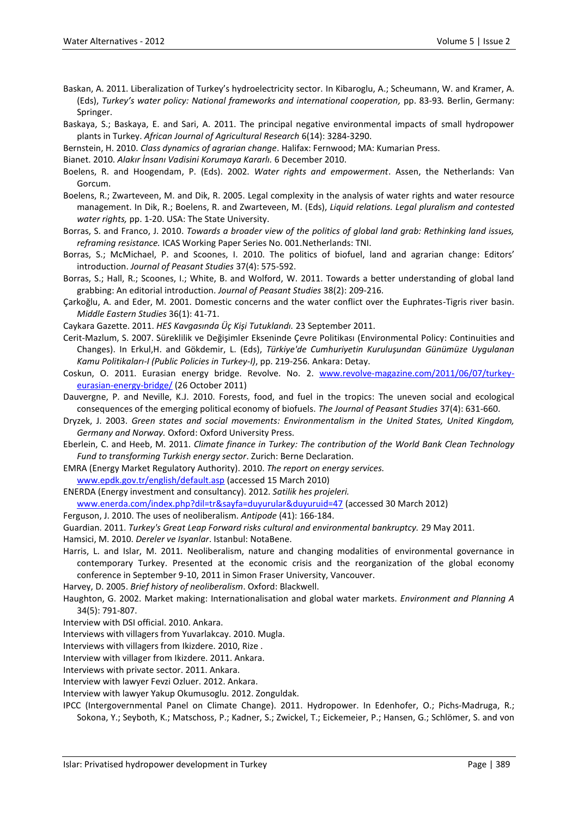- Baskan, A. 2011. Liberalization of Turkey's hydroelectricity sector. In Kibaroglu, A.; Scheumann, W. and Kramer, A. (Eds), *Turkey's water policy: National frameworks and international cooperation,* pp. 83-93*.* Berlin, Germany: Springer.
- Baskaya, S.; Baskaya, E. and Sari, A. 2011. The principal negative environmental impacts of small hydropower plants in Turkey. *African Journal of Agricultural Research* 6(14): 3284-3290.
- Bernstein, H. 2010. *Class dynamics of agrarian change*. Halifax: Fernwood; MA: Kumarian Press.
- Bianet. 2010. *Alakır İnsanı Vadisini Korumaya Kararlı.* 6 December 2010.
- Boelens, R. and Hoogendam, P. (Eds). 2002. *Water rights and empowerment*. Assen, the Netherlands: Van Gorcum.
- Boelens, R.; Zwarteveen, M. and Dik, R. 2005. Legal complexity in the analysis of water rights and water resource management. In Dik, R.; Boelens, R. and Zwarteveen, M. (Eds), *Liquid relations. Legal pluralism and contested water rights,* pp. 1-20. USA: The State University.
- Borras, S. and Franco, J. 2010. *Towards a broader view of the politics of global land grab: Rethinking land issues, reframing resistance.* ICAS Working Paper Series No. 001.Netherlands: TNI.
- Borras, S.; McMichael, P. and Scoones, I. 2010. The politics of biofuel, land and agrarian change: Editors' introduction. *Journal of Peasant Studies* 37(4): 575-592.
- Borras, S.; Hall, R.; Scoones, I.; White, B. and Wolford, W. 2011. Towards a better understanding of global land grabbing: An editorial introduction. *Journal of Peasant Studies* 38(2): 209-216.
- Çarkoğlu, A. and Eder, M. 2001. Domestic concerns and the water conflict over the Euphrates-Tigris river basin. *Middle Eastern Studies* 36(1): 41-71.
- Caykara Gazette. 2011. *HES Kavgasında Üç Kişi Tutuklandı.* 23 September 2011.
- Cerit-Mazlum, S. 2007. Süreklilik ve Değişimler Ekseninde Çevre Politikası (Environmental Policy: Continuities and Changes). In Erkul,H. and Gökdemir, L. (Eds), *Türkiye'de Cumhuriyetin Kuruluşundan Günümüze Uygulanan Kamu Politikaları-I (Public Policies in Turkey-I)*, pp. 219-256*.* Ankara: Detay.
- Coskun, O. 2011. Eurasian energy bridge. Revolve. No. 2. [www.revolve-magazine.com/2011/06/07/turkey](http://www.revolve-magazine.com/2011/06/07/turkey-eurasian-energy-bridge/)[eurasian-energy-bridge/](http://www.revolve-magazine.com/2011/06/07/turkey-eurasian-energy-bridge/) (26 October 2011)
- Dauvergne, P. and Neville, K.J. 2010. Forests, food, and fuel in the tropics: The uneven social and ecological consequences of the emerging political economy of biofuels. *The Journal of Peasant Studies* 37(4): 631-660.
- Dryzek, J. 2003. *Green states and social movements: Environmentalism in the United States, United Kingdom, Germany and Norway.* Oxford: Oxford University Press.
- Eberlein, C. and Heeb, M. 2011. *Climate finance in Turkey: The contribution of the World Bank Clean Technology Fund to transforming Turkish energy sector*. Zurich: Berne Declaration.
- EMRA (Energy Market Regulatory Authority). 2010. *The report on energy services.*
- [www.epdk.gov.tr/english/default.asp](http://www.epdk.gov.tr/english/default.asp) (accessed 15 March 2010)
- ENERDA (Energy investment and consultancy). 2012. *Satilik hes projeleri.* [www.enerda.com/index.php?dil=tr&sayfa=duyurular&duyuruid=47](http://www.enerda.com/index.php?dil=tr&sayfa=duyurular&duyuruid=47) (accessed 30 March 2012)
- Ferguson, J. 2010. The uses of neoliberalism. *Antipode* (41): 166-184.
- Guardian. 2011. *Turkey's Great Leap Forward risks cultural and environmental bankruptcy.* 29 May 2011.
- Hamsici, M. 2010. *Dereler ve Isyanlar*. Istanbul: NotaBene.
- Harris, L. and Islar, M. 2011. Neoliberalism, nature and changing modalities of environmental governance in contemporary Turkey. Presented at the economic crisis and the reorganization of the global economy conference in September 9-10, 2011 in Simon Fraser University, Vancouver.
- Harvey, D. 2005. *Brief history of neoliberalism*. Oxford: Blackwell.
- Haughton, G. 2002. Market making: Internationalisation and global water markets. *Environment and Planning A* 34(5): 791-807.
- Interview with DSI official. 2010. Ankara.
- Interviews with villagers from Yuvarlakcay. 2010. Mugla.
- Interviews with villagers from Ikizdere. 2010, Rize .
- Interview with villager from Ikizdere. 2011. Ankara.
- Interviews with private sector. 2011. Ankara.
- Interview with lawyer Fevzi Ozluer. 2012. Ankara.
- Interview with lawyer Yakup Okumusoglu. 2012. Zonguldak.
- IPCC (Intergovernmental Panel on Climate Change). 2011. Hydropower. In Edenhofer, O.; Pichs-Madruga, R.; Sokona, Y.; Seyboth, K.; Matschoss, P.; Kadner, S.; Zwickel, T.; Eickemeier, P.; Hansen, G.; Schlömer, S. and von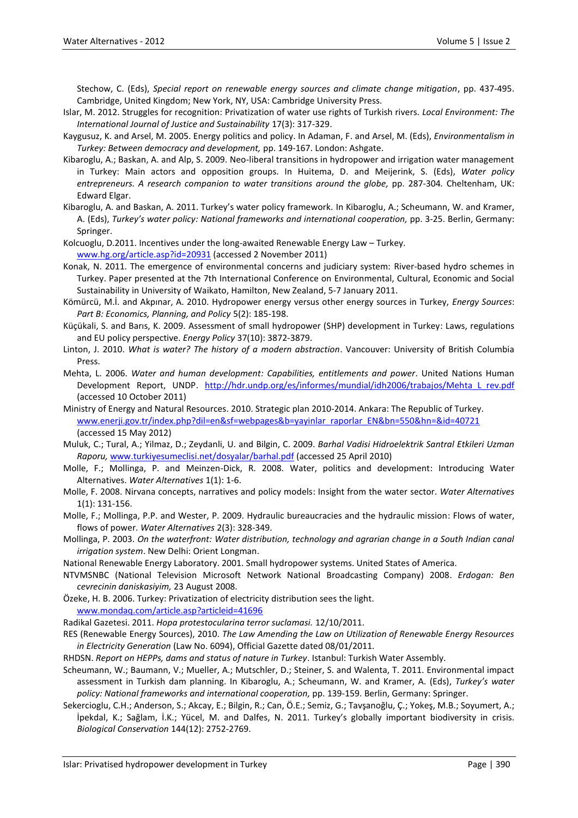Stechow, C. (Eds), *Special report on renewable energy sources and climate change mitigation*, pp. 437-495. Cambridge, United Kingdom; New York, NY, USA: Cambridge University Press.

- Islar, M. 2012. Struggles for recognition: Privatization of water use rights of Turkish rivers. *Local Environment: The International Journal of Justice and Sustainability* 17(3): 317-329.
- Kaygusuz, K. and Arsel, M. 2005. Energy politics and policy. In Adaman, F. and Arsel, M. (Eds), *Environmentalism in Turkey: Between democracy and development,* pp. 149-167. London: Ashgate.
- Kibaroglu, A.; Baskan, A. and Alp, S. 2009. Neo-liberal transitions in hydropower and irrigation water management in Turkey: Main actors and opposition groups. In Huitema, D. and Meijerink, S. (Eds), *Water policy entrepreneurs. A research companion to water transitions around the globe,* pp. 287-304*.* Cheltenham, UK: Edward Elgar.
- Kibaroglu, A. and Baskan, A. 2011. Turkey's water policy framework. In Kibaroglu, A.; Scheumann, W. and Kramer, A. (Eds), *Turkey's water policy: National frameworks and international cooperation,* pp. 3-25. Berlin, Germany: Springer.
- Kolcuoglu, D.2011. Incentives under the long-awaited Renewable Energy Law Turkey. [www.hg.org/article.asp?id=20931](http://www.hg.org/article.asp?id=20931) (accessed 2 November 2011)
- Konak, N. 2011. The emergence of environmental concerns and judiciary system: River-based hydro schemes in Turkey. Paper presented at the 7th International Conference on Environmental, Cultural, Economic and Social Sustainability in University of Waikato, Hamilton, New Zealand, 5-7 January 2011.
- Kömürcü, M.İ. and Akpınar, A. 2010. Hydropower energy versus other energy sources in Turkey, *Energy Sources*: *Part B: Economics, Planning, and Policy* 5(2): 185-198.
- Küçükali, S. and Barıs, K. 2009. Assessment of small hydropower (SHP) development in Turkey: Laws, regulations and EU policy perspective. *Energy Policy* 37(10): 3872-3879.
- Linton, J. 2010. *What is water? The history of a modern abstraction*. Vancouver: University of British Columbia Press.
- Mehta, L. 2006. *Water and human development: Capabilities, entitlements and power*. United Nations Human Development Report, UNDP. http://hdr.undp.org/es/informes/mundial/idh2006/trabajos/Mehta L rev.pdf (accessed 10 October 2011)
- Ministry of Energy and Natural Resources. 2010. Strategic plan 2010-2014. Ankara: The Republic of Turkey. [www.enerji.gov.tr/index.php?dil=en&sf=webpages&b=yayinlar\\_raporlar\\_EN&bn=550&hn=&id=40721](http://www.enerji.gov.tr/index.php?dil=en&sf=webpages&b=yayinlar_raporlar_EN&bn=550&hn=&id=40721) (accessed 15 May 2012)
- Muluk, C.; Tural, A.; Yilmaz, D.; Zeydanli, U. and Bilgin, C. 2009. *Barhal Vadisi Hidroelektrik Santral Etkileri Uzman Raporu,* [www.turkiyesumeclisi.net/dosyalar/barhal.pdf](http://www.turkiyesumeclisi.net/dosyalar/barhal.pdf) (accessed 25 April 2010)
- Molle, F.; Mollinga, P. and Meinzen‐Dick, R. 2008. Water, politics and development: Introducing Water Alternatives. *Water Alternatives* 1(1): 1‐6.
- Molle, F. 2008. Nirvana concepts, narratives and policy models: Insight from the water sector. *Water Alternatives* 1(1): 131‐156.
- Molle, F.; Mollinga, P.P. and Wester, P. 2009. Hydraulic bureaucracies and the hydraulic mission: Flows of water, flows of power. *Water Alternatives* 2(3): 328‐349.
- Mollinga, P. 2003. *On the waterfront: Water distribution, technology and agrarian change in a South Indian canal irrigation system*. New Delhi: Orient Longman.
- National Renewable Energy Laboratory. 2001. Small hydropower systems. United States of America.
- NTVMSNBC (National Television Microsoft Network National Broadcasting Company) 2008. *Erdogan: Ben cevrecinin daniskasiyim,* 23 August 2008.
- Özeke, H. B. 2006. Turkey: Privatization of electricity distribution sees the light.

[www.mondaq.com/article.asp?articleid=41696](http://www.mondaq.com/article.asp?articleid=41696)

- Radikal Gazetesi. 2011. *Hopa protestocularina terror suclamasi.* 12/10/2011.
- RES (Renewable Energy Sources), 2010. *The Law Amending the Law on Utilization of Renewable Energy Resources in Electricity Generation* (Law No. 6094), Official Gazette dated 08/01/2011.
- RHDSN. *Report on HEPPs, dams and status of nature in Turkey*. Istanbul: Turkish Water Assembly.
- Scheumann, W.; Baumann, V.; Mueller, A.; Mutschler, D.; Steiner, S. and Walenta, T. 2011. Environmental impact assessment in Turkish dam planning. In Kibaroglu, A.; Scheumann, W. and Kramer, A. (Eds), *Turkey's water policy: National frameworks and international cooperation,* pp. 139-159. Berlin, Germany: Springer.
- Sekercioglu, C.H.; Anderson, S.; Akcay, E.; Bilgin, R.; Can, Ö.E.; Semiz, G.; Tavşanoğlu, Ç.; Yokeş, M.B.; Soyumert, A.; İpekdal, K.; Sağlam, İ.K.; Yücel, M. and Dalfes, N. 2011. Turkey's globally important biodiversity in crisis. *Biological Conservation* 144(12): 2752-2769.